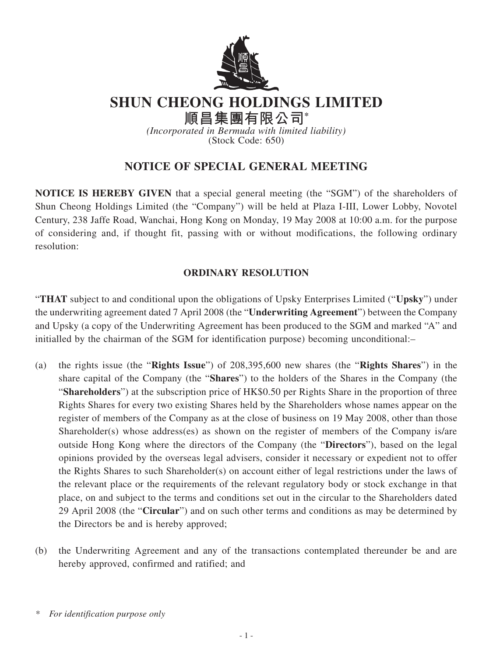

**SHUN CHEONG HOLDINGS LIMITED**

**順昌集團有限公司\***

*(Incorporated in Bermuda with limited liability)* (Stock Code: 650)

## **NOTICE OF SPECIAL GENERAL MEETING**

**NOTICE IS HEREBY GIVEN** that a special general meeting (the "SGM") of the shareholders of Shun Cheong Holdings Limited (the "Company") will be held at Plaza I-III, Lower Lobby, Novotel Century, 238 Jaffe Road, Wanchai, Hong Kong on Monday, 19 May 2008 at 10:00 a.m. for the purpose of considering and, if thought fit, passing with or without modifications, the following ordinary resolution:

## **ORDINARY RESOLUTION**

"**THAT** subject to and conditional upon the obligations of Upsky Enterprises Limited ("**Upsky**") under the underwriting agreement dated 7 April 2008 (the "**Underwriting Agreement**") between the Company and Upsky (a copy of the Underwriting Agreement has been produced to the SGM and marked "A" and initialled by the chairman of the SGM for identification purpose) becoming unconditional:–

- (a) the rights issue (the "**Rights Issue**") of 208,395,600 new shares (the "**Rights Shares**") in the share capital of the Company (the "**Shares**") to the holders of the Shares in the Company (the "**Shareholders**") at the subscription price of HK\$0.50 per Rights Share in the proportion of three Rights Shares for every two existing Shares held by the Shareholders whose names appear on the register of members of the Company as at the close of business on 19 May 2008, other than those Shareholder(s) whose address(es) as shown on the register of members of the Company is/are outside Hong Kong where the directors of the Company (the "**Directors**"), based on the legal opinions provided by the overseas legal advisers, consider it necessary or expedient not to offer the Rights Shares to such Shareholder(s) on account either of legal restrictions under the laws of the relevant place or the requirements of the relevant regulatory body or stock exchange in that place, on and subject to the terms and conditions set out in the circular to the Shareholders dated 29 April 2008 (the "**Circular**") and on such other terms and conditions as may be determined by the Directors be and is hereby approved;
- (b) the Underwriting Agreement and any of the transactions contemplated thereunder be and are hereby approved, confirmed and ratified; and

*<sup>\*</sup> For identification purpose only*